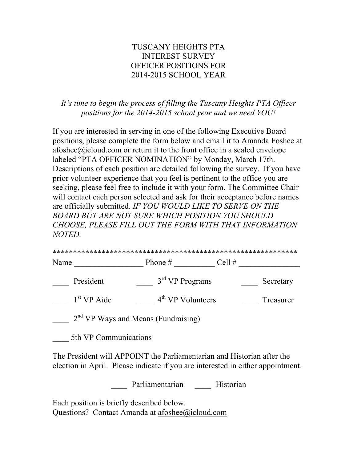## TUSCANY HEIGHTS PTA INTEREST SURVEY OFFICER POSITIONS FOR 2014-2015 SCHOOL YEAR

## *It's time to begin the process of filling the Tuscany Heights PTA Officer positions for the 2014-2015 school year and we need YOU!*

If you are interested in serving in one of the following Executive Board positions, please complete the form below and email it to Amanda Foshee at afoshee@icloud.com or return it to the front office in a sealed envelope labeled "PTA OFFICER NOMINATION" by Monday, March 17th. Descriptions of each position are detailed following the survey. If you have prior volunteer experience that you feel is pertinent to the office you are seeking, please feel free to include it with your form. The Committee Chair will contact each person selected and ask for their acceptance before names are officially submitted. *IF YOU WOULD LIKE TO SERVE ON THE BOARD BUT ARE NOT SURE WHICH POSITION YOU SHOULD CHOOSE, PLEASE FILL OUT THE FORM WITH THAT INFORMATION NOTED.* 

| Name |                                                 | Phone $#$           | Cell $#$ |           |
|------|-------------------------------------------------|---------------------|----------|-----------|
|      | President                                       | $3rd$ VP Programs   |          | Secretary |
|      | 1 <sup>st</sup> VP Aide                         | $4th$ VP Volunteers |          | Treasurer |
|      | 2 <sup>nd</sup> VP Ways and Means (Fundraising) |                     |          |           |

\_\_\_\_ 5th VP Communications

The President will APPOINT the Parliamentarian and Historian after the election in April. Please indicate if you are interested in either appointment.

Parliamentarian Historian

Each position is briefly described below. Questions? Contact Amanda at afoshee@icloud.com